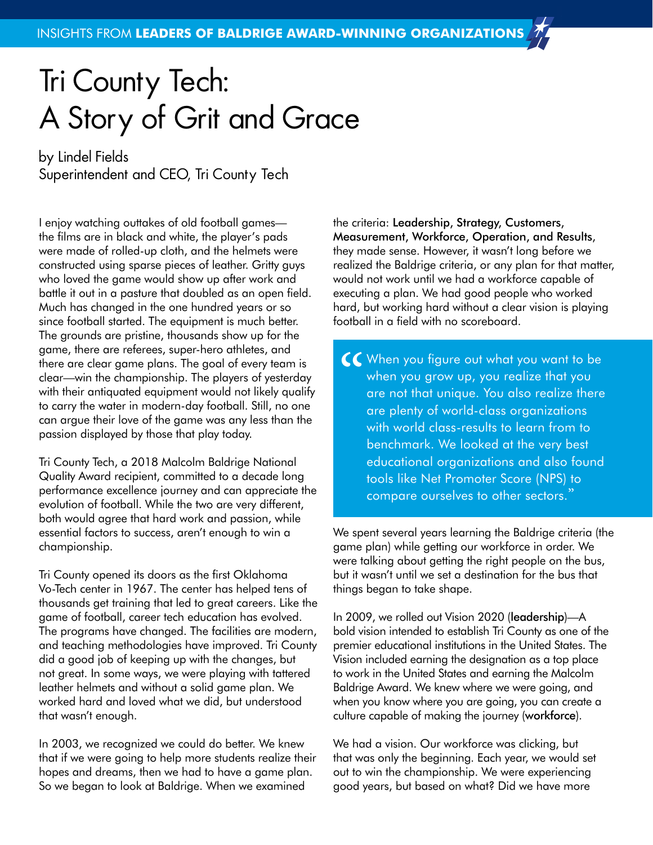## Tri County Tech: A Story of Grit and Grace

by Lindel Fields Superintendent and CEO, Tri County Tech

I enjoy watching outtakes of old football games the films are in black and white, the player's pads were made of rolled-up cloth, and the helmets were constructed using sparse pieces of leather. Gritty guys who loved the game would show up after work and battle it out in a pasture that doubled as an open field. Much has changed in the one hundred years or so since football started. The equipment is much better. The grounds are pristine, thousands show up for the game, there are referees, super-hero athletes, and there are clear game plans. The goal of every team is clear—win the championship. The players of yesterday with their antiquated equipment would not likely qualify to carry the water in modern-day football. Still, no one can argue their love of the game was any less than the passion displayed by those that play today.

Tri County Tech, a 2018 Malcolm Baldrige National Quality Award recipient, committed to a decade long performance excellence journey and can appreciate the evolution of football. While the two are very different, both would agree that hard work and passion, while essential factors to success, aren't enough to win a championship.

Tri County opened its doors as the first Oklahoma Vo-Tech center in 1967. The center has helped tens of thousands get training that led to great careers. Like the game of football, career tech education has evolved. The programs have changed. The facilities are modern, and teaching methodologies have improved. Tri County did a good job of keeping up with the changes, but not great. In some ways, we were playing with tattered leather helmets and without a solid game plan. We worked hard and loved what we did, but understood that wasn't enough.

In 2003, we recognized we could do better. We knew that if we were going to help more students realize their hopes and dreams, then we had to have a game plan. So we began to look at Baldrige. When we examined

the criteria: Leadership, Strategy, Customers, Measurement, Workforce, Operation, and Results, they made sense. However, it wasn't long before we realized the Baldrige criteria, or any plan for that matter, would not work until we had a workforce capable of executing a plan. We had good people who worked hard, but working hard without a clear vision is playing football in a field with no scoreboard.

CC When you figure out what you want to be<br>when you grow up, you realize that you<br>are not that unique. You also realize there<br>are plenty of world-class organizations when you grow up, you realize that you are not that unique. You also realize there are plenty of world-class organizations with world class-results to learn from to benchmark. We looked at the very best educational organizations and also found tools like Net Promoter Score (NPS) to compare ourselves to other sectors."

We spent several years learning the Baldrige criteria (the game plan) while getting our workforce in order. We were talking about getting the right people on the bus, but it wasn't until we set a destination for the bus that things began to take shape.

In 2009, we rolled out Vision 2020 (leadership)—A bold vision intended to establish Tri County as one of the premier educational institutions in the United States. The Vision included earning the designation as a top place to work in the United States and earning the Malcolm Baldrige Award. We knew where we were going, and when you know where you are going, you can create a culture capable of making the journey (workforce).

We had a vision. Our workforce was clicking, but that was only the beginning. Each year, we would set out to win the championship. We were experiencing good years, but based on what? Did we have more